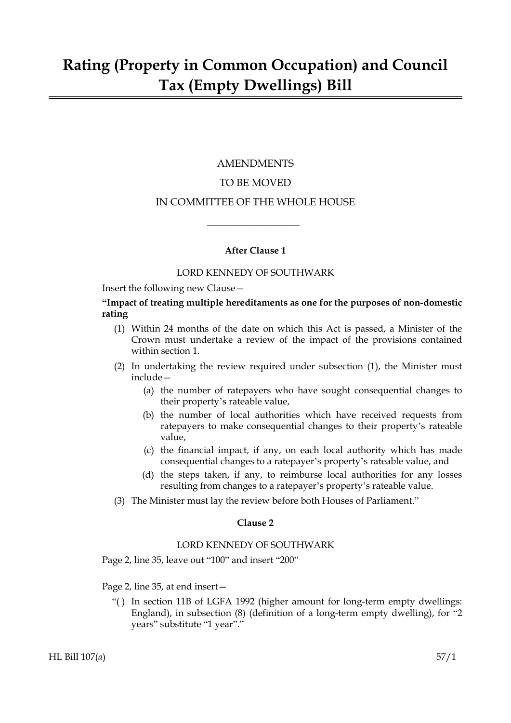# AMENDMENTS

## TO BE MOVED

### IN COMMITTEE OF THE WHOLE HOUSE

 $\overline{\phantom{a}}$  , where  $\overline{\phantom{a}}$ 

#### **After Clause 1**

#### LORD KENNEDY OF SOUTHWARK

Insert the following new Clause—

#### **"Impact of treating multiple hereditaments as one for the purposes of non-domestic rating**

- (1) Within 24 months of the date on which this Act is passed, a Minister of the Crown must undertake a review of the impact of the provisions contained within section 1.
- (2) In undertaking the review required under subsection (1), the Minister must include—
	- (a) the number of ratepayers who have sought consequential changes to their property's rateable value,
	- (b) the number of local authorities which have received requests from ratepayers to make consequential changes to their property's rateable value,
	- (c) the financial impact, if any, on each local authority which has made consequential changes to a ratepayer's property's rateable value, and
	- (d) the steps taken, if any, to reimburse local authorities for any losses resulting from changes to a ratepayer's property's rateable value.
- (3) The Minister must lay the review before both Houses of Parliament."

#### **Clause 2**

#### LORD KENNEDY OF SOUTHWARK

Page 2, line 35, leave out "100" and insert "200"

Page 2, line 35, at end insert—

"( ) In section 11B of LGFA 1992 (higher amount for long-term empty dwellings: England), in subsection (8) (definition of a long-term empty dwelling), for "2 years" substitute "1 year"."